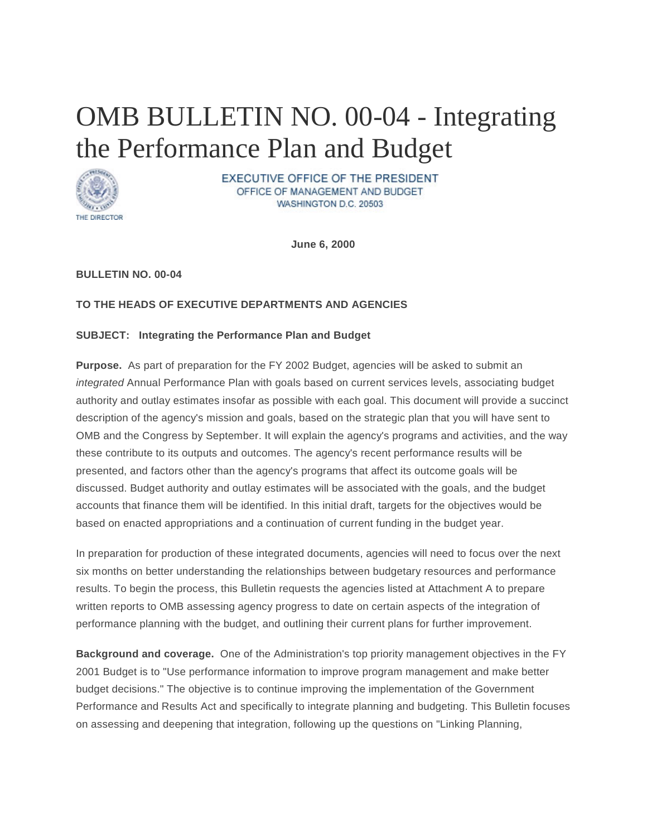# OMB BULLETIN NO. 00-04 - Integrating the Performance Plan and Budget



**EXECUTIVE OFFICE OF THE PRESIDENT** OFFICE OF MANAGEMENT AND BUDGET WASHINGTON D.C. 20503

**June 6, 2000**

### **BULLETIN NO. 00-04**

### **TO THE HEADS OF EXECUTIVE DEPARTMENTS AND AGENCIES**

#### **SUBJECT: Integrating the Performance Plan and Budget**

**Purpose.** As part of preparation for the FY 2002 Budget, agencies will be asked to submit an *integrated* Annual Performance Plan with goals based on current services levels, associating budget authority and outlay estimates insofar as possible with each goal. This document will provide a succinct description of the agency's mission and goals, based on the strategic plan that you will have sent to OMB and the Congress by September. It will explain the agency's programs and activities, and the way these contribute to its outputs and outcomes. The agency's recent performance results will be presented, and factors other than the agency's programs that affect its outcome goals will be discussed. Budget authority and outlay estimates will be associated with the goals, and the budget accounts that finance them will be identified. In this initial draft, targets for the objectives would be based on enacted appropriations and a continuation of current funding in the budget year.

In preparation for production of these integrated documents, agencies will need to focus over the next six months on better understanding the relationships between budgetary resources and performance results. To begin the process, this Bulletin requests the agencies listed at Attachment A to prepare written reports to OMB assessing agency progress to date on certain aspects of the integration of performance planning with the budget, and outlining their current plans for further improvement.

**Background and coverage.** One of the Administration's top priority management objectives in the FY 2001 Budget is to "Use performance information to improve program management and make better budget decisions." The objective is to continue improving the implementation of the Government Performance and Results Act and specifically to integrate planning and budgeting. This Bulletin focuses on assessing and deepening that integration, following up the questions on "Linking Planning,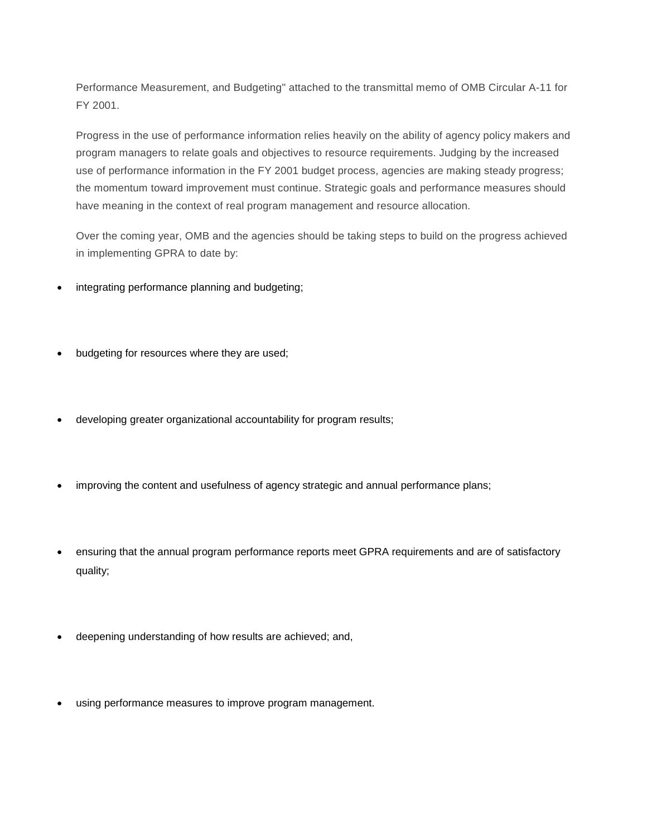Performance Measurement, and Budgeting" attached to the transmittal memo of OMB Circular A-11 for FY 2001.

Progress in the use of performance information relies heavily on the ability of agency policy makers and program managers to relate goals and objectives to resource requirements. Judging by the increased use of performance information in the FY 2001 budget process, agencies are making steady progress; the momentum toward improvement must continue. Strategic goals and performance measures should have meaning in the context of real program management and resource allocation.

Over the coming year, OMB and the agencies should be taking steps to build on the progress achieved in implementing GPRA to date by:

- integrating performance planning and budgeting;
- budgeting for resources where they are used;
- developing greater organizational accountability for program results;
- improving the content and usefulness of agency strategic and annual performance plans;
- ensuring that the annual program performance reports meet GPRA requirements and are of satisfactory quality;
- deepening understanding of how results are achieved; and,
- using performance measures to improve program management.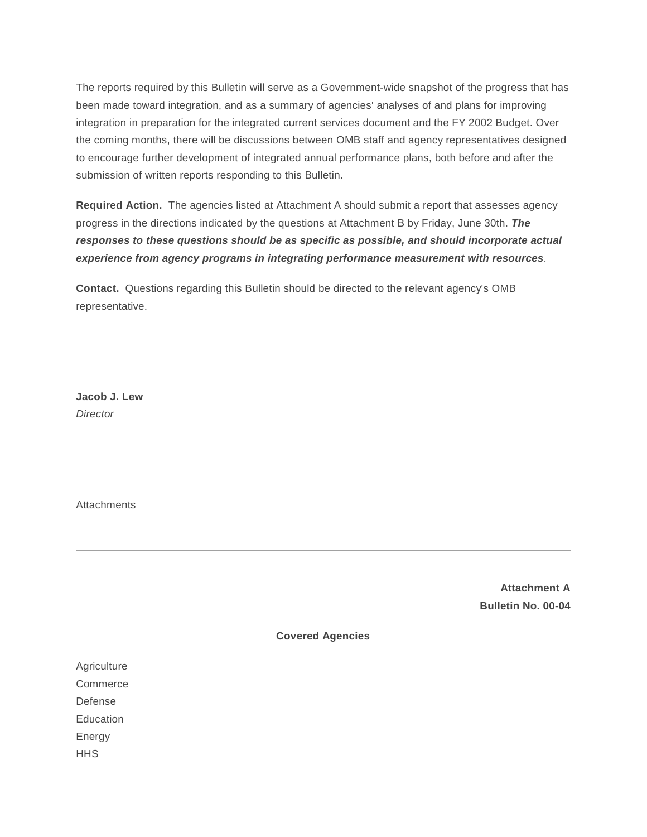The reports required by this Bulletin will serve as a Government-wide snapshot of the progress that has been made toward integration, and as a summary of agencies' analyses of and plans for improving integration in preparation for the integrated current services document and the FY 2002 Budget. Over the coming months, there will be discussions between OMB staff and agency representatives designed to encourage further development of integrated annual performance plans, both before and after the submission of written reports responding to this Bulletin.

**Required Action.** The agencies listed at Attachment A should submit a report that assesses agency progress in the directions indicated by the questions at Attachment B by Friday, June 30th. *The responses to these questions should be as specific as possible, and should incorporate actual experience from agency programs in integrating performance measurement with resources*.

**Contact.** Questions regarding this Bulletin should be directed to the relevant agency's OMB representative.

**Jacob J. Lew** *Director*

**Attachments** 

**Attachment A Bulletin No. 00-04**

**Covered Agencies**

Agriculture **Commerce** Defense **Education** 

Energy

**HHS**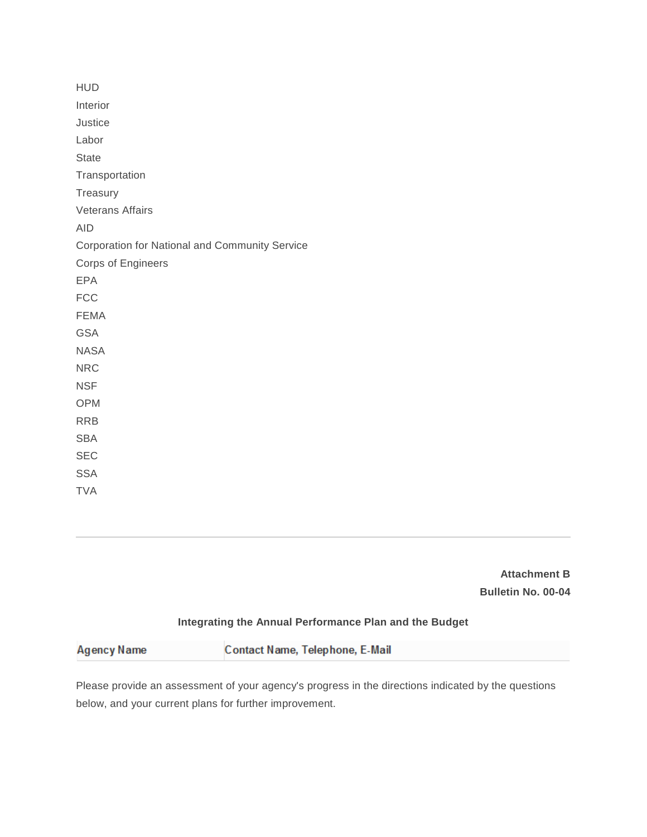| <b>HUD</b>                                     |
|------------------------------------------------|
| Interior                                       |
| Justice                                        |
| Labor                                          |
| <b>State</b>                                   |
| Transportation                                 |
| Treasury                                       |
| <b>Veterans Affairs</b>                        |
| <b>AID</b>                                     |
| Corporation for National and Community Service |
| Corps of Engineers                             |
| <b>EPA</b>                                     |
| <b>FCC</b>                                     |
| <b>FEMA</b>                                    |
| <b>GSA</b>                                     |
| <b>NASA</b>                                    |
| <b>NRC</b>                                     |
| <b>NSF</b>                                     |
| <b>OPM</b>                                     |
| <b>RRB</b>                                     |
| <b>SBA</b>                                     |
| <b>SEC</b>                                     |
| <b>SSA</b>                                     |
| <b>TVA</b>                                     |

**Attachment B Bulletin No. 00-04**

## **Integrating the Annual Performance Plan and the Budget**

|--|--|--|

Please provide an assessment of your agency's progress in the directions indicated by the questions below, and your current plans for further improvement.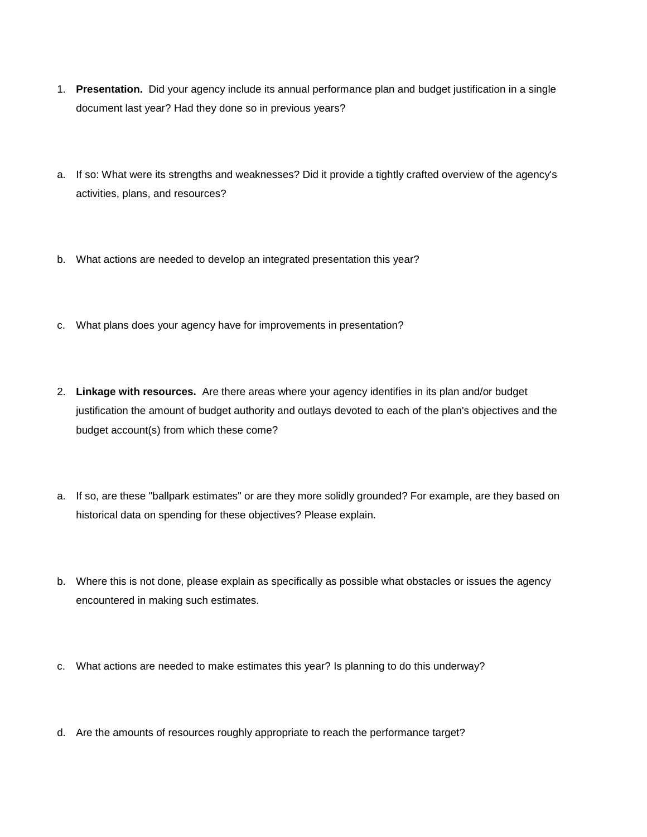- 1. **Presentation.** Did your agency include its annual performance plan and budget justification in a single document last year? Had they done so in previous years?
- a. If so: What were its strengths and weaknesses? Did it provide a tightly crafted overview of the agency's activities, plans, and resources?
- b. What actions are needed to develop an integrated presentation this year?
- c. What plans does your agency have for improvements in presentation?
- 2. **Linkage with resources.** Are there areas where your agency identifies in its plan and/or budget justification the amount of budget authority and outlays devoted to each of the plan's objectives and the budget account(s) from which these come?
- a. If so, are these "ballpark estimates" or are they more solidly grounded? For example, are they based on historical data on spending for these objectives? Please explain.
- b. Where this is not done, please explain as specifically as possible what obstacles or issues the agency encountered in making such estimates.
- c. What actions are needed to make estimates this year? Is planning to do this underway?
- d. Are the amounts of resources roughly appropriate to reach the performance target?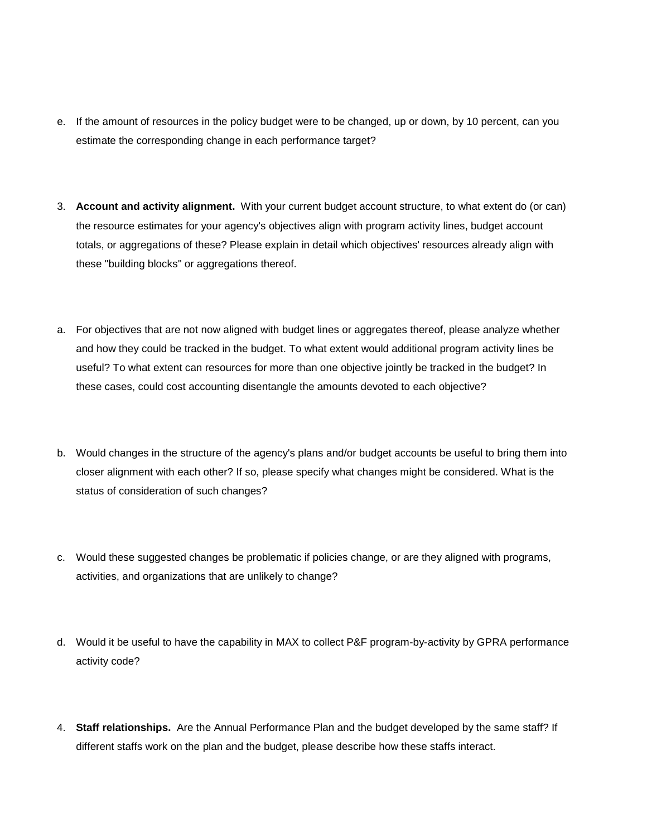- e. If the amount of resources in the policy budget were to be changed, up or down, by 10 percent, can you estimate the corresponding change in each performance target?
- 3. **Account and activity alignment.** With your current budget account structure, to what extent do (or can) the resource estimates for your agency's objectives align with program activity lines, budget account totals, or aggregations of these? Please explain in detail which objectives' resources already align with these "building blocks" or aggregations thereof.
- a. For objectives that are not now aligned with budget lines or aggregates thereof, please analyze whether and how they could be tracked in the budget. To what extent would additional program activity lines be useful? To what extent can resources for more than one objective jointly be tracked in the budget? In these cases, could cost accounting disentangle the amounts devoted to each objective?
- b. Would changes in the structure of the agency's plans and/or budget accounts be useful to bring them into closer alignment with each other? If so, please specify what changes might be considered. What is the status of consideration of such changes?
- c. Would these suggested changes be problematic if policies change, or are they aligned with programs, activities, and organizations that are unlikely to change?
- d. Would it be useful to have the capability in MAX to collect P&F program-by-activity by GPRA performance activity code?
- 4. **Staff relationships.** Are the Annual Performance Plan and the budget developed by the same staff? If different staffs work on the plan and the budget, please describe how these staffs interact.